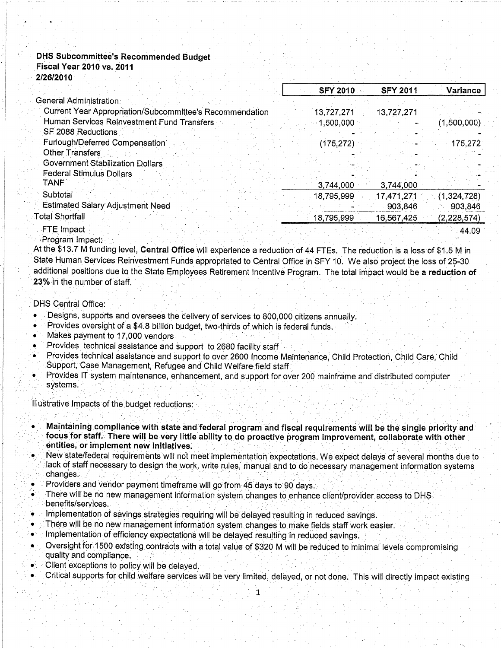# **DHS Subcommittee's Recommended Budget**

#### **Fiscal Year 2010 vs. 2011** 2/26/2010

|                                                          | <b>SFY 2010</b> | <b>SFY 2011</b> | Variance      |
|----------------------------------------------------------|-----------------|-----------------|---------------|
| General Administration.                                  |                 |                 |               |
| Current Year Appropriation/Subcommittee's Recommendation | 13,727,271      | 13,727,271      |               |
| Human Services Reinvestment Fund Transfers               | 1,500,000       |                 | (1,500,000)   |
| SF 2088 Reductions                                       |                 |                 |               |
| Furlough/Deferred Compensation                           | $(175, 272)$ .  |                 | 175,272       |
| Other Transfers                                          |                 |                 |               |
| Government Stabilization Dollars                         |                 |                 |               |
| <b>Federal Stimulus Dollars</b>                          |                 |                 |               |
| TANF.                                                    | 3,744,000       | 3,744,000       |               |
| Subtotal                                                 | 18,795,999      | 17,471,271      | (1,324,728)   |
| <b>Estimated Salary Adjustment Need</b>                  |                 | 903,846         | 903,846       |
| Total Shortfall                                          | 18,795,999      | 16,567,425      | (2, 228, 574) |
| FTE Impact                                               |                 |                 | 44.09         |

Program Impact:

At the \$13.7 M funding level, Central Office will experience a reduction of 44 FTEs. The reduction is a loss of \$1.5 M in State Human Services Reinvestment Funds appropriated to Central Office in SFY 10. We also project the loss of 25-30 additional positions due to the State Employees Retirement Incentive Program. The total impact would be a reduction of 23% in the number of staff.

## **DHS Central Office:**

- Designs, supports and oversees the delivery of services to 800,000 citizens annually.
- Provides oversight of a \$4.8 billion budget, two-thirds of which is federal funds.
- Makes payment to 17,000 vendors
- Provides technical assistance and support to 2680 facility staff
- Provides technical assistance and support to over 2600 Income Maintenance, Child Protection, Child Care, Child Support, Case Management, Refugee and Child Welfare field staff.
- Provides IT system maintenance, enhancement, and support for over 200 mainframe and distributed computer systems.

Illustrative Impacts of the budget reductions:

- Maintaining compliance with state and federal program and fiscal requirements will be the single priority and focus for staff. There will be very little ability to do proactive program improvement, collaborate with other entities, or implement new initiatives.
- New state/federal requirements will not meet implementation expectations. We expect delays of several months due to lack of staff necessary to design the work, write rules, manual and to do necessary management information systems changes.
- Providers and vendor payment timeframe will go from 45 days to 90 days.
- There will be no new management information system changes to enhance client/provider access to DHS. benefits/services.
- Implementation of savings strategies requiring will be delayed resulting in reduced savings.
- There will be no new management information system changes to make fields staff work easier.
- Implementation of efficiency expectations will be delayed resulting in reduced savings.
- Oversight for 1500 existing contracts with a total value of \$320 M will be reduced to minimal levels compromising quality and compliance.
- Client exceptions to policy will be delayed.
- Critical supports for child welfare services will be very limited, delayed, or not done. This will directly impact existing

1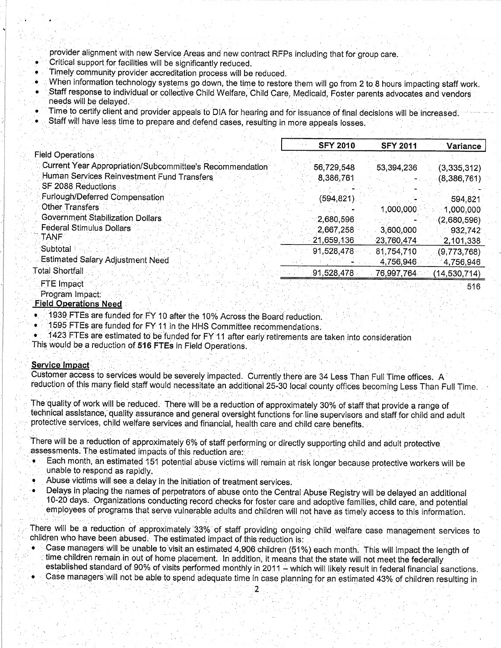provider alignment with new Service Areas and new contract RFPs including that for group care.

Critical support for facilities will be significantly reduced.

Timely community provider accreditation process will be reduced.

When information technology systems go down, the time to restore them will go from 2 to 8 hours impacting staff work.

- Staff response to individual or collective Child Welfare, Child Care, Medicaid, Foster parents advocates and vendors needs will be delayed.
- Time to certify client and provider appeals to DIA for hearing and for issuance of final decisions will be increased.
- Staff will have less time to prepare and defend cases, resulting in more appeals losses.

|                                                          | <b>SFY 2010</b> | <b>SFY 2011</b> | Variance       |
|----------------------------------------------------------|-----------------|-----------------|----------------|
| <b>Field Operations</b>                                  |                 |                 |                |
| Current Year Appropriation/Subcommittee's Recommendation | 56,729,548      | 53,394,236      | (3,335,312)    |
| Human Services Reinvestment Fund Transfers               | 8,386,761       |                 | (8,386,761)    |
| SF 2088 Reductions                                       |                 |                 |                |
| Furlough/Deferred Compensation                           | (594,821)       |                 | 594,821        |
| <b>Other Transfers</b>                                   |                 | 1,000,000       | 1,000,000      |
| <b>Government Stabilization Dollars</b>                  | 2,680,596       |                 | (2,680,596)    |
| Federal Stimulus Dollars                                 | 2,667,258       | 3,600,000       | 932,742        |
| TANF :                                                   | 21,659,136      | 23,760,474      | 2,101,338      |
| Subtotal                                                 | 91,528,478      | 81,754,710      | (9,773,768)    |
| <b>Estimated Salary Adjustment Need</b>                  |                 | 4,756,946       | 4,756,946      |
| <b>Total Shortfall</b>                                   | 91,528,478      | 76,997,764      | (14, 530, 714) |
| FTE Impact                                               |                 |                 | <b>E1Q</b>     |

Program Impact:

## **Field Operations Need**

1939 FTEs are funded for FY 10 after the 10% Across the Board reduction.

1595 FTEs are funded for FY 11 in the HHS Committee recommendations.

1423 FTEs are estimated to be funded for FY 11 after early retirements are taken into consideration

This would be a reduction of 516 FTEs in Field Operations.

## **Service Impact**

Customer access to services would be severely impacted. Currently there are 34 Less Than Full Time offices. A reduction of this many field staff would necessitate an additional 25-30 local county offices becoming Less Than Full Time.

The quality of work will be reduced. There will be a reduction of approximately 30% of staff that provide a range of technical assistance, quality assurance and general oversight functions for line supervisors and staff for child and adult protective services, child welfare services and financial, health care and child care benefits.

There will be a reduction of approximately 6% of staff performing or directly supporting child and adult protective assessments. The estimated impacts of this reduction are:

- Each month, an estimated 151 potential abuse victims will remain at risk longer because protective workers will be unable to respond as rapidly.
- Abuse victims will see a delay in the initiation of treatment services.
- Delays in placing the names of perpetrators of abuse onto the Central Abuse Registry will be delayed an additional 10-20 days. Organizations conducting record checks for foster care and adoptive families, child care, and potential employees of programs that serve vulnerable adults and children will not have as timely access to this information.

There will be a reduction of approximately 33% of staff providing ongoing child welfare case management services to children who have been abused. The estimated impact of this reduction is:

- Case managers will be unable to visit an estimated 4,906 children (51%) each month. This will impact the length of time children remain in out of home placement. In addition, it means that the state will not meet the federally established standard of 90% of visits performed monthly in 2011 - which will likely result in federal financial sanctions.
- Case managers will not be able to spend adequate time in case planning for an estimated 43% of children resulting in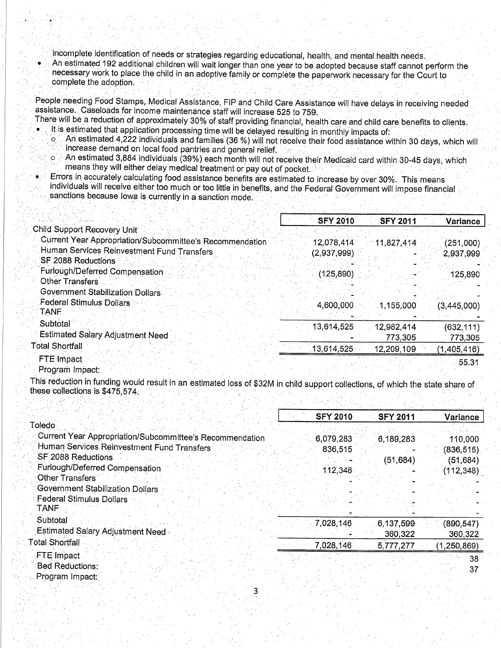incomplete identification of needs or strategies regarding educational, health, and mental health needs.

An estimated 192 additional children will wait longer than one year to be adopted because staff cannot perform the necessary work to place the child in an adoptive family or complete the paperwork necessary for the Court to complete the adoption.

People needing Food Stamps, Medical Assistance, FIP and Child Care Assistance will have delays in receiving needed assistance. Caseloads for income maintenance staff will increase 525 to 759.

- There will be a reduction of approximately 30% of staff providing financial, health care and child care benefits to clients.
	- It is estimated that application processing time will be delayed resulting in monthly impacts of: ່ວ່
	- An estimated 4,222 individuals and families (36 %) will not receive their food assistance within 30 days, which will increase demand on local food pantries and general relief.  $\circ$ 
		- An estimated 3,884 individuals (39%) each month will not receive their Medicaid card within 30-45 days, which means they will either delay medical treatment or pay out of pocket.
- Errors in accurately calculating food assistance benefits are estimated to increase by over 30%. This means individuals will receive either too much or too little in benefits, and the Federal Government will impose financial sanctions because lowa is currently in a sanction mode.

|                                                          | <b>SFY 2010</b> | <b>SFY 2011</b> | Variance      |
|----------------------------------------------------------|-----------------|-----------------|---------------|
| Child Support Recovery Unit                              |                 |                 |               |
| Current Year Appropriation/Subcommittee's Recommendation | 12,078,414      | 11,827,414      | (251,000)     |
| Human Services Reinvestment Fund Transfers               | (2,937,999)     |                 | 2,937,999     |
| SF 2088 Reductions                                       |                 |                 |               |
| Furlough/Deferred Compensation                           | (125,890)       |                 | 125,890       |
| Other Transfers                                          |                 |                 |               |
| Government Stabilization Dollars                         |                 |                 |               |
| <b>Federal Stimulus Dollars</b>                          | 4,600,000       | 1,155,000       | (3, 445, 000) |
| <b>TANF</b>                                              |                 |                 |               |
| Subtotal                                                 | 13,614,525      | 12,982,414      | (632, 111)    |
| <b>Estimated Salary Adjustment Need</b>                  |                 | 773,305         |               |
| <b>Total Shortfall</b>                                   |                 |                 | 773,305       |
|                                                          | 13,614,525      | 12,209,109      | (1,405,416)   |
| FTE Impact                                               |                 |                 | 55.31         |

#### Program Impact:

This reduction in funding would result in an estimated loss of \$32M in child support collections, of which the state share of these collections is \$475,574. Pathoe of Bosse

|                                                          |  | <b>SFY 2010</b> | <b>SFY 2011</b> | Variance        |
|----------------------------------------------------------|--|-----------------|-----------------|-----------------|
| Toledo⊹                                                  |  |                 |                 |                 |
| Current Year Appropriation/Subcommittee's Recommendation |  | 6,079,283       | 6,189,283       | 110,000         |
| Human Services Reinvestment Fund Transfers               |  | 836,515         |                 | (836, 515)      |
| SF 2088 Reductions                                       |  |                 | (51, 684)       | (51, 684)       |
| Furlough/Deferred Compensation                           |  | 112,348         |                 | (112, 348)      |
| Other Transfers                                          |  |                 |                 |                 |
| <b>Government Stabilization Dollars</b>                  |  |                 |                 |                 |
| <b>Federal Stimulus Dollars</b>                          |  |                 |                 |                 |
| <b>TANF</b>                                              |  |                 |                 |                 |
| Subtotal                                                 |  | 7,028,146       | 6,137,599       | (890, 547)      |
| <b>Estimated Salary Adjustment Need</b>                  |  |                 | 360,322         | 360,322         |
| <b>Total Shortfall</b>                                   |  | 7,028,146       | 5,777,277       | (1, 250, 869)   |
| FTE Impact                                               |  |                 |                 | 38 <sup>°</sup> |
| Bed Reductions:                                          |  |                 |                 | 37              |
| Program Impact                                           |  |                 |                 |                 |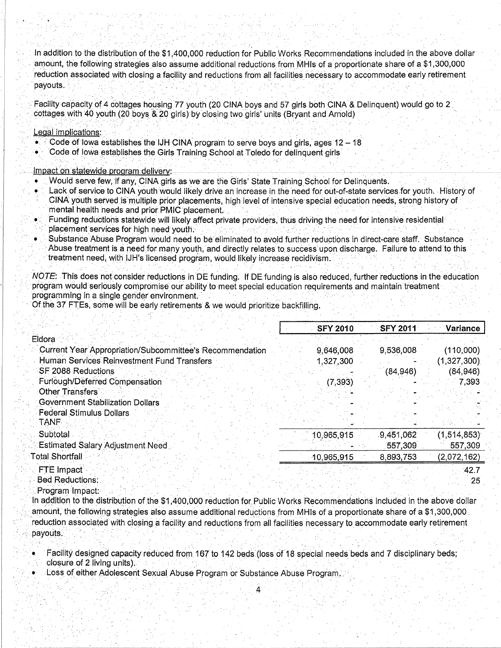In addition to the distribution of the \$1,400,000 reduction for Public Works Recommendations included in the above dollar amount, the following strategies also assume additional reductions from MHls of a proportionate share of a \$1,300,000 reduction associated with closing a facility and reductions from allfacilities necessary to accommodate early retirement payouts.

Facility capacity of 4 cottages housing 77 youth (20 CINA boys and 57 girls both CINA & Delinquent) would go to 2 cottages with 40 youth (20 boys & 20 girls) by closing two girls' units (Bryant and Arnold)

#### Legal implications:

- $\bullet$   $\degree$  Code of lowa establishes the IJH CINA program to serve boys and girls, ages 12 18
- Code of lowa establishes the Girls Training School at Toledo for delinquent girls<br>
School at Toledo for delinquent girls

## lmpact on siatewide þrooram deliverv:

. Would serve few;if any, CINA gúrls as we are the Girls' State Training School for Delinquents.

'.'.]'i,-....:'..'''

- Lack of service to CINA youth would likely drive an increase in the need for out-of-state services for youth. History of
- CINA youth served is multiple prior placements, high level of intensive special education needs, strong history of mental health needs and prior PMIC placement.
- . Funding reductions statewide will likely affect private providers, thus driving the need for intensive residential
- 
- Substance Abuse Program would need to be eliminated to avoid further reductions in direct-care staff. Substance Abuse treatment is a need for many youth, and directly relates to success upon discharge. Failure to attend to this treatment need, with IJH's licensed program, would likely increase recidivism.

NOTE: This does not consider reductions in DE funding. If DE funding is also reduced, further reductions in the education program would seriously compromise our ability to meet special education requirements and maintain treatment programming in a single gender environment.

Of the 37 FTEs, some will be early retirements & we would prioritize backfilling.

|                                                                 | <b>SFY 2010</b> | <b>SFY 2011</b> | Variance    |
|-----------------------------------------------------------------|-----------------|-----------------|-------------|
| Eldora                                                          |                 |                 |             |
| <b>Current Year Appropriation/Subcommittee's Recommendation</b> | 9,646,008       | 9,536,008       | (110,000)   |
| Human Services Reinvestment Fund Transfers                      | 1,327,300       |                 | (1,327,300) |
| SF 2088 Reductions                                              |                 | (84,946)        | (84, 946)   |
| Furlough/Deferred Compensation                                  | (7, 393)        |                 | 7,393       |
| Other Transfers                                                 |                 |                 |             |
| <b>Government Stabilization Dollars</b>                         |                 |                 |             |
| <b>Federal Stimulus Dollars</b><br><b>TANF</b>                  |                 |                 |             |
| Subtotal                                                        | 10,965,915      | 9,451,062       | (1,514,853) |
| <b>Estimated Salary Adjustment Need</b>                         |                 | 557,309         | 557,309     |
| <b>Fotal Shortfall</b>                                          | 10,965,915      | 8,893,753       | (2,072,162) |
| FTE Impact<br>Bed Reductions:                                   |                 |                 | 42.7<br>-25 |

Program Impact:

In addition to the distribution of the \$1,400,000 reduction for Public Works Recommendations included in the above dollar amount, the following strategies also assume additional reductions from MHls of a proportionate share of a \$1,300,000 reduction associated with closing a facility and reductions from all facilities necessary to accommodate early retirement<br>payouts.

Δ

- Facility designed capacity reduced from 167 to 142 beds (loss of 18 special needs beds and 7 disciplinary beds; closure of 2 living units).
- Loss of either Adolescent Sexual Abuse Program or Substance Abuse Program.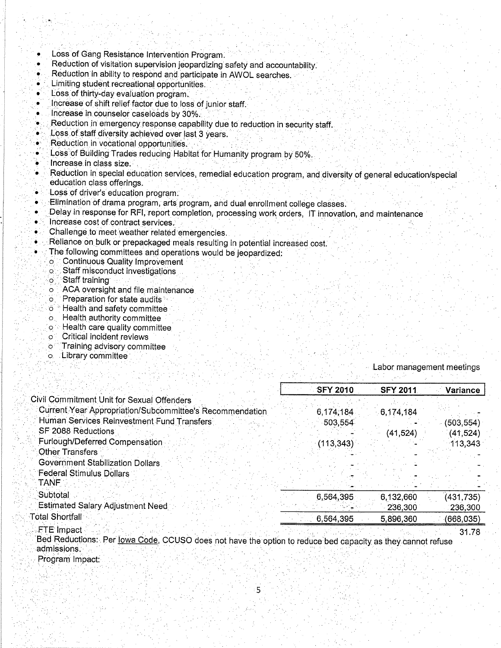- Loss of Gang Resistance Intervention Program.
- Reduction of visitation supervision jeopardizing safety and accountability.
- Reduction in ability to respond and participate in AWOL searches.
- Limiting student recreational opportunities. ó
- Loss of thirty-day evaluation program.  $\bullet$
- Increase of shift relief factor due to loss of junior staff.
- Increase in counselor caseloads by 30%.  $\bullet$
- Reduction in emergency response capability due to reduction in security staff. ٠
- Loss of staff diversity achieved over last 3 years. ٠
- Reduction in vocational opportunities. ò
- Loss of Building Trades reducing Habitat for Humanity program by 50%.
- Increase in class size.
- Reduction in special education services, remedial education program, and diversity of general education/special education class offerings.
- Loss of driver's education program.
- Elimination of drama program, arts program, and dual enrollment college classes. è
- Delay in response for RFI, report completion, processing work orders, IT innovation, and maintenance
- Increase cost of contract services.  $\bullet$
- Challenge to meet weather related emergencies.
- Reliance on bulk or prepackaged meals resulting in potential increased cost.
- The following committees and operations would be jeopardized:
	- **Continuous Quality Improvement**  $\circ$ .
	- Staff misconduct investigations оË
	- o Staff training
	- ACA oversight and file maintenance  $\circ$
	- o Preparation for state audits
	- o "Health and safety committee
	- o Health authority committee
	- o Health care quality committee
	- o Critical incident reviews
	- Training advisory committee ٛ؆
	- o Library committee

## Labor management meetings

|                                                                                                                           | <b>SFY 2010</b> | <b>SFY 2011</b> | Variance  |
|---------------------------------------------------------------------------------------------------------------------------|-----------------|-----------------|-----------|
| Civil Commitment Unit for Sexual Offenders                                                                                |                 |                 |           |
| Current Year Appropriation/Subcommittee's Recommendation                                                                  | 6,174,184       | 6,174,184       |           |
| Human Services Reinvestment Fund Transfers                                                                                | 503,554         |                 | (503,554) |
| SF 2088 Reductions                                                                                                        |                 | (41,524)        | (41,524)  |
| Furlough/Deferred Compensation                                                                                            | (113, 343)      |                 | 113,343   |
| <b>Other Transfers</b>                                                                                                    |                 |                 |           |
| Government Stabilization Dollars                                                                                          |                 |                 |           |
| <b>Federal Stimulus Dollars</b>                                                                                           |                 |                 |           |
| TANF                                                                                                                      |                 |                 |           |
| Subtotal                                                                                                                  | 6,564,395       | 6,132,660       | (431,735) |
| <b>Estimated Salary Adjustment Need</b>                                                                                   |                 | 236,300         | 236,300   |
| <b>Total Shortfall</b>                                                                                                    | 6,564,395       | 5,896,360       | (668,035) |
| FTE Impact<br>Bed Reductions: Per lowa Code, CCUSO does not have the option to reduce had consolive as thou connot refuse |                 |                 | 31.78     |

apacity as they admissions. Program Impact: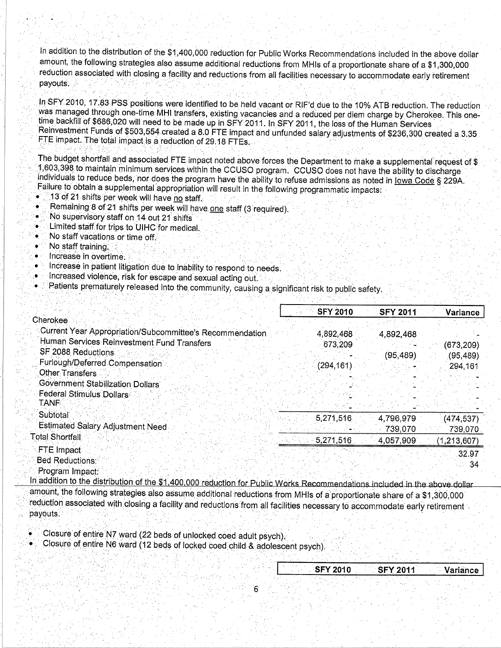In addition to the distribution of the \$1,400,000 reduction for Public Works Recommendations included in the above dollar amount, the following strategies also assume additional reductions from MHIs of a proportionate share of a \$1,300,000 reduction associated with closing a facility and reductions from all facilities necessary to accommodate early retirement payouts.

In SFY 2010, 17.83 PSS positions were identified to be held vacant or RIF'd due to the 10% ATB reduction. The reduction was managed through one-time MHI transfers, existing vacancies and a reduced per diem charge by Cherokee. This onetime backfill of \$686,020 will need to be made up in SFY 2011. In SFY 2011, the loss of the Human Services Reinvestment Funds of \$503,554 created a 8.0 FTE impact and unfunded salary adjustments of \$236,300 created a 3.35 FTE impact. The total impact is a reduction of 29.18 FTEs.

The budget shortfall and associated FTE impact noted above forces the Department to make a supplemental request of \$ 1,603,398 to maintain minimum services within the CCUSO program. CCUSO does not have the ability to discharge individuals to reduce beds, nor does the program have the ability to refuse admissions as noted in lowa Code § 229A. Failure to obtain a supplemental appropriation will result in the following programmatic impacts:

- 13 of 21 shifts per week will have no staff.
- Remaining 8 of 21 shifts per week will have one staff (3 required).
- No supervisory staff on 14 out 21 shifts
- Limited staff for trips to UIHC for medical. ۰
- No staff vacations or time off.
- No staff training.

- Increase in overtime.
- Increase in patient litigation due to inability to respond to needs.
- Increased violence, risk for escape and sexual acting out.
- Patients prematurely released into the community, causing a significant risk to public safety,

|                                                          | <b>SFY 2010</b> | <b>SFY 2011</b> | Variance      |
|----------------------------------------------------------|-----------------|-----------------|---------------|
| Cherokee∶                                                |                 |                 |               |
| Current Year Appropriation/Subcommittee's Recommendation | 4,892,468       | 4,892,468       |               |
| Human Services Reinvestment Fund Transfers               | 673,209         |                 | (673,209)     |
| SF 2088 Reductions                                       |                 | (95, 489)       | (95, 489)     |
| Furlough/Deferred Compensation                           | (294,161)       |                 | 294,161       |
| Other Transfers                                          |                 |                 |               |
| <b>Government Stabilization Dollars</b>                  |                 |                 |               |
| Federal Stimulus Dollars                                 |                 |                 |               |
| TANF                                                     |                 |                 |               |
| Subtotal                                                 | 5,271,516       | 4,796,979       | (474, 537)    |
| <b>Estimated Salary Adjustment Need</b>                  |                 | 739,070         | 739,070       |
| <b>Total Shortfall</b>                                   | 5,271,516       | 4,057,909       |               |
| <b>FTE Impact</b>                                        |                 |                 | (1, 213, 607) |
| Bed Reductions:                                          |                 |                 | 32.97         |
|                                                          |                 |                 | 34            |
| Program Impact:                                          |                 |                 |               |

In addition to the distribution of the \$1,400,000 reduction for Public Works Recommendations included in the above dollar amount, the following strategies also assume additional reductions from MHIs of a proportionate share of a \$1,300,000 reduction associated with closing a facility and reductions from all facilities necessary to accommodate early retirement payouts.

Closure of entire N7 ward (22 beds of unlocked coed adult psych).

Closure of entire N6 ward (12 beds of locked coed child & adolescent psych).

|  | <b>SFY 2010</b> |  | <b>SFY 2011</b> |          |
|--|-----------------|--|-----------------|----------|
|  |                 |  |                 | Variance |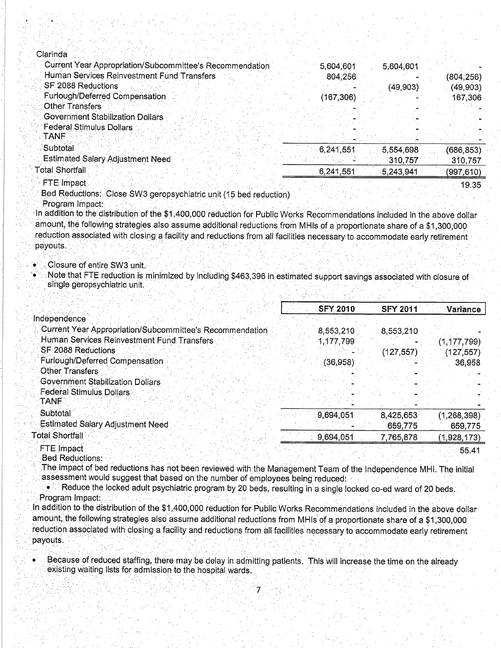| Clarinda                                                 |            |           |           |
|----------------------------------------------------------|------------|-----------|-----------|
| Current Year Appropriation/Subcommittee's Recommendation | 5,604,601  | 5,604,601 |           |
| Human Services Reinvestment Fund Transfers               | 804,256    |           | (804,256) |
| SF 2088 Reductions                                       |            | (49,903)  | (49,903)  |
| Furlough/Deferred Compensation                           | (167, 306) |           | 167,306   |
| <b>Other Transfers</b>                                   |            |           |           |
| <b>Government Stabilization Dollars</b>                  |            |           |           |
| <b>Federal Stimulus Dollars</b><br><b>TANF</b>           |            |           |           |
| Subtotal                                                 | 6,241,551  | 5,554,698 | (686,853) |
| <b>Estimated Salary Adjustment Need</b>                  |            | 310.757   | 310,757   |
| otal Shortfall                                           | 6,241,551  | 5,243,941 | (997,610) |
| <b>FTE</b> Impact                                        |            |           | 19.35     |

Bed Reductions: Close SW3 geropsychiatric unit (15 bed reduction)

Program Impact:

In addition to the distribution of the \$1,400,000 reduction for Public Works Recommendations included in the above dollar amount, the following strategies also assume additional reductions from MHIs of a proportionate share of a \$1,300,000 reduction associated with closing a facility and reductions from all facilities necessary to accommodate early retirement payouts.

## Closure of entire SW3 unit.

Note that FTE reduction is minimized by including \$463,396 in estimated support savings associated with closure of single geropsychiatric unit.

|                                                          | <b>SFY 2010</b> | <b>SFY 2011</b> | <b>Variance</b> |
|----------------------------------------------------------|-----------------|-----------------|-----------------|
| Independence                                             |                 |                 |                 |
| Current Year Appropriation/Subcommittee's Recommendation | 8,553,210       | 8,553,210       |                 |
| Human Services Reinvestment Fund Transfers               | 1,177,799       |                 | (1, 177, 799)   |
| SF 2088 Reductions                                       |                 | (127, 557)      | (127, 557)      |
| Furlough/Deferred Compensation                           | (36, 958)       |                 | 36,958          |
| <b>Other Transfers</b>                                   |                 |                 |                 |
| <b>Government Stabilization Dollars</b>                  |                 |                 |                 |
| <b>Federal Stimulus Dollars</b><br><b>TANE</b>           |                 |                 |                 |
| Subtotal                                                 | 9,694,051       | 8,425,653       | (1, 268, 398)   |
| <b>Estimated Salary Adjustment Need</b>                  |                 | 659,775         | 659,775         |
| <b>Total Shortfall</b>                                   | 9,694,051       | 7,765,878       | (1,928,173)     |
| FTE Impact                                               |                 |                 | 55.41           |

**Bed Reductions:** The impact of bed reductions has not been reviewed with the Management Team of the Independence MHI. The initial assessment would suggest that based on the number of employees being reduced:

Reduce the locked adult psychiatric program by 20 beds, resulting in a single locked co-ed ward of 20 beds. Program Impact:

In addition to the distribution of the \$1,400,000 reduction for Public Works Recommendations included in the above dollar amount, the following strategies also assume additional reductions from MHIs of a proportionate share of a \$1,300,000 reduction associated with closing a facility and reductions from all facilities necessary to accommodate early retirement payouts.

Because of reduced staffing, there may be delay in admitting patients. This will increase the time on the already existing waiting lists for admission to the hospital wards.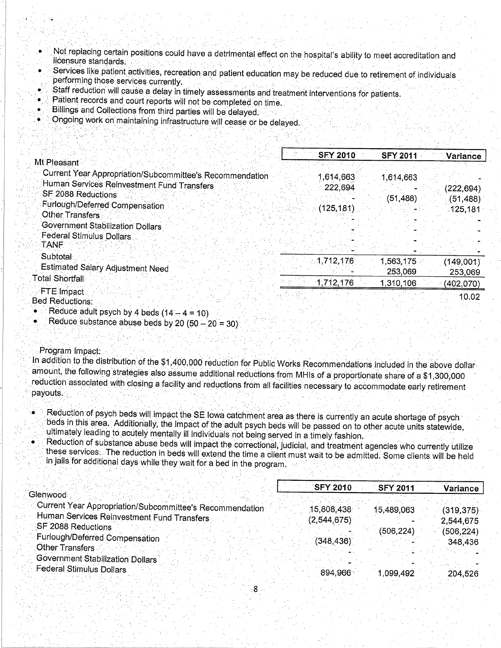- Not replacing certain positions could have a detrimental effect on the hospital's ability to meet accreditation and licensure standards.
- Services like patient activities, recreation and patient education may be reduced due to retirement of individuals performing those services currently.
- Staff reduction will cause a delay in timely assessments and treatment interventions for patients.
- Patient records and court reports will not be completed on time.
- Billings and Collections from third parties will be delayed.
- Ongoing work on maintaining infrastructure will cease or be delayed.

|                                                          | <b>SFY 2010</b> | <b>SFY 2011</b> | Variance  |
|----------------------------------------------------------|-----------------|-----------------|-----------|
| Mt Pleasant                                              |                 |                 |           |
| Current Year Appropriation/Subcommittee's Recommendation | ,614,663        | 1,614,663       |           |
| Human Services Reinvestment Fund Transfers               | 222,694         |                 | (222,694) |
| SF 2088 Reductions                                       |                 | (51,488)        |           |
| Furlough/Deferred Compensation                           | (125, 181)      |                 | (51, 488) |
| <b>Other Transfers</b>                                   |                 |                 | 125,181   |
| Government Stabilization Dollars                         |                 |                 |           |
| <b>Federal Stimulus Dollars</b>                          |                 |                 |           |
| <b>TANF:</b>                                             |                 |                 |           |
| Subtotal                                                 |                 |                 |           |
| <b>Estimated Salary Adjustment Need</b>                  | 1,712,176       | ,563,175        | (149,001) |
| <b>Total Shortfall</b>                                   |                 | 253,069         | 253,069   |
|                                                          | 1,712,176       | 1,310,106       | (402,070) |
| FTE Impact                                               |                 |                 | 10.02     |
| <b>Bed Reductions:</b>                                   |                 |                 |           |
| • Reduce adult psych by 4 beds $(14 - 4 = 10)$           |                 |                 |           |

Reduce substance abuse beds by 20  $(50 - 20 = 30)$ 

## Program Impact:

In addition to the distribution of the \$1,400,000 reduction for Public Works Recommendations included in the above dollar amount, the following strategies also assume additional reductions from MHIs of a proportionate share of a \$1,300,000 reduction associated with closing a facility and reductions from all facilities necessary to accommodate early retirement payouts.

- Reduction of psych beds will impact the SE lowa catchment area as there is currently an acute shortage of psych beds in this area. Additionally, the impact of the adult psych beds will be passed on to other acute units statewide, ultimately leading to acutely mentally ill individuals not being served in a timely fashion.
- 
- Reduction of substance abuse beds will impact the correctional, judicial, and treatment agencies who currently utilize these services. The reduction in beds will extend the time a client must wait to be admitted. Some clients will be held in jails for additional days while they wait for a bed in the program.

|                                                          | <b>SFY 2010</b> | <b>SFY 2011</b> | Variance   |
|----------------------------------------------------------|-----------------|-----------------|------------|
| Glenwood                                                 |                 |                 |            |
| Current Year Appropriation/Subcommittee's Recommendation | 15,808,438      | 15,489,063      | (319, 375) |
| Human Services Reinvestment Fund Transfers               | (2, 544, 675)   |                 | 2,544,675  |
| SF 2088 Reductions                                       |                 | (506, 224)      | (506, 224) |
| Furlough/Deferred Compensation                           | (348, 436)      |                 | 348,436    |
| Other Transfers                                          |                 |                 |            |
| <b>Government Stabilization Dollars</b>                  |                 |                 |            |
| <b>Federal Stimulus Dollars</b>                          | $-894.966$      | 1.099.492       | 204.526    |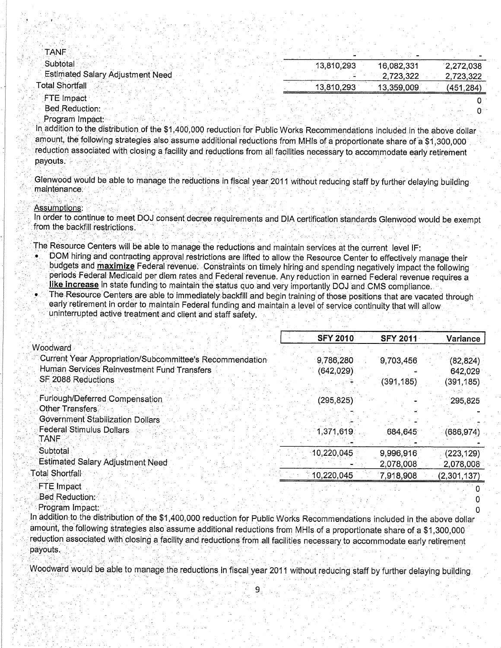| <b>TANF</b>                             |            |            |           |
|-----------------------------------------|------------|------------|-----------|
| Subtotal :                              | 13,810,293 | 16,082,331 | 2,272,038 |
| <b>Estimated Salary Adjustment Need</b> |            | 2,723,322  | 2,723,322 |
| <b>Total Shortfall</b>                  | 13,810,293 | 13,359,009 | (451.284) |
| <b>FTE</b> Impact                       |            |            |           |

Bed Reduction: Program Impact:

In addition to the distribution of the \$1,400,000 reduction for Public Works Recommendations included in the above dollar amount, the following strategies also assume additional reductions from MHIs of a proportionate share of a \$1,300,000 reduction associated with closing a facility and reductions from all facilities necessary to accommodate early retirement payouts.

Glenwood would be able to manage the reductions in fiscal year 2011 without reducing staff by further delaying building maintenance.

Assumptions:

In order to continue to meet DOJ consent decree requirements and DIA certification standards Glenwood would be exempt from the backfill restrictions

The Resource Centers will be able to manage the reductions and maintain services at the current level IF:

- DOM hiring and contracting approval restrictions are lifted to allow the Resource Center to effectively manage their budgets and **maximize** Federal revenue. Constraints on timely hiring and spending negatively impact the following periods Federal Medicaid per diem rates and Federal revenue. Any reduction in earned Federal revenue requires a like increase in state funding to maintain the status quo and very importantly DOJ and CMS compliance.
- The Resource Centers are able to immediately backfill and begin training of those positions that are vacated through early retirement in order to maintain Federal funding and maintain a level of service continuity that will allow uninterrupted active treatment and client and staff safety.

|                                                          | <b>SFY 2010</b> | <b>SFY 2011</b> | Variance    |
|----------------------------------------------------------|-----------------|-----------------|-------------|
| Woodward                                                 |                 |                 |             |
| Current Year Appropriation/Subcommittee's Recommendation | 9,786,280       | 9,703,456       | (82, 824)   |
| Human Services Reinvestment Fund Transfers               | (642,029)       |                 | 642,029     |
| SF 2088 Reductions                                       |                 | (391, 185)      | (391, 185)  |
| Furlough/Deferred Compensation                           | (295, 825)      |                 | 295,825     |
| Other Transfers                                          |                 |                 |             |
| Government Stabilization Dollars                         |                 |                 |             |
| <b>Federal Stimulus Dollars</b><br>TANF                  | 1,371,619       | [684, 645]      | (686, 974)  |
| Subtotal                                                 | 10,220,045      | 9,996,916       | (223, 129)  |
| <b>Estimated Salary Adjustment Need</b>                  |                 | 2,078,008       | 2,078,008   |
| Total Shortfall                                          | 10,220,045      | 7.918,908       | (2,301,137) |
| FTE Impact                                               |                 |                 |             |
| Bed Reduction:                                           |                 |                 |             |

Program Impact:

In addition to the distribution of the \$1,400,000 reduction for Public Works Recommendations included in the above dollar amount, the following strategies also assume additional reductions from MHIs of a proportionate share of a \$1,300,000 reduction associated with closing a facility and reductions from all facilities necessary to accommodate early retirement payouts.

Woodward would be able to manage the reductions in fiscal year 2011 without reducing staff by further delaying building